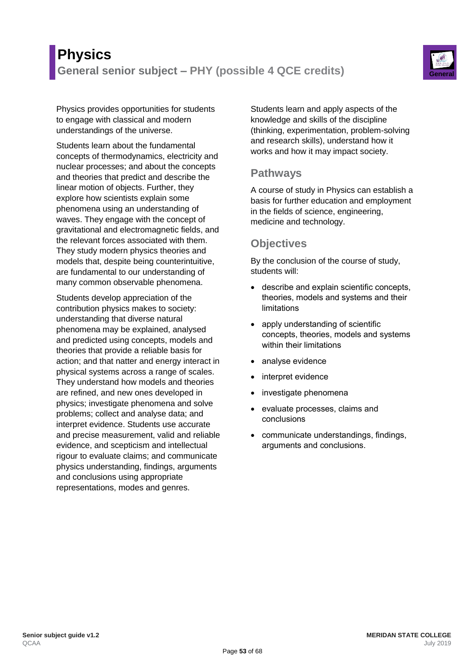# **Physics General senior subject – PHY (possible 4 QCE credits)**



Physics provides opportunities for students to engage with classical and modern understandings of the universe.

Students learn about the fundamental concepts of thermodynamics, electricity and nuclear processes; and about the concepts and theories that predict and describe the linear motion of objects. Further, they explore how scientists explain some phenomena using an understanding of waves. They engage with the concept of gravitational and electromagnetic fields, and the relevant forces associated with them. They study modern physics theories and models that, despite being counterintuitive, are fundamental to our understanding of many common observable phenomena.

Students develop appreciation of the contribution physics makes to society: understanding that diverse natural phenomena may be explained, analysed and predicted using concepts, models and theories that provide a reliable basis for action; and that natter and energy interact in physical systems across a range of scales. They understand how models and theories are refined, and new ones developed in physics; investigate phenomena and solve problems; collect and analyse data; and interpret evidence. Students use accurate and precise measurement, valid and reliable evidence, and scepticism and intellectual rigour to evaluate claims; and communicate physics understanding, findings, arguments and conclusions using appropriate representations, modes and genres.

Students learn and apply aspects of the knowledge and skills of the discipline (thinking, experimentation, problem-solving and research skills), understand how it works and how it may impact society.

## **Pathways**

A course of study in Physics can establish a basis for further education and employment in the fields of science, engineering, medicine and technology.

### **Objectives**

By the conclusion of the course of study, students will:

- describe and explain scientific concepts, theories, models and systems and their limitations
- apply understanding of scientific concepts, theories, models and systems within their limitations
- analyse evidence
- interpret evidence
- investigate phenomena
- evaluate processes, claims and conclusions
- communicate understandings, findings, arguments and conclusions.